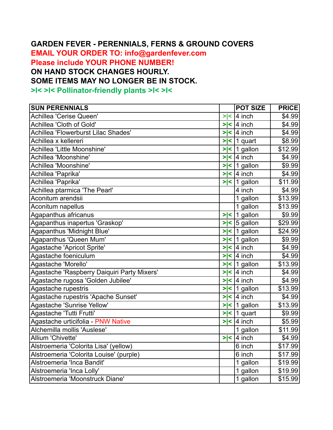## **GARDEN FEVER - PERENNIALS, FERNS & GROUND COVERS**

**EMAIL YOUR ORDER TO: info@gardenfever.com Please include YOUR PHONE NUMBER! ON HAND STOCK CHANGES HOURLY. SOME ITEMS MAY NO LONGER BE IN STOCK. >l< >l< Pollinator-friendly plants >l< >l<** 

| <b>SUN PERENNIALS</b>                       |     | <b>POT SIZE</b>         | <b>PRICE</b> |
|---------------------------------------------|-----|-------------------------|--------------|
| Achillea 'Cerise Queen'                     | > < | 4 inch                  | \$4.99       |
| Achillea 'Cloth of Gold'                    |     | $>$  <  4 inch          | \$4.99       |
| Achillea 'Flowerburst Lilac Shades'         |     | $>$  <  4 inch          | \$4.99       |
| Achillea x kellereri                        |     | $>$  <  1 quart         | \$8.99       |
| Achillea 'Little Moonshine'                 |     | $>$  <   1 gallon       | \$12.99      |
| Achillea 'Moonshine'                        |     | $>$  < 4 inch           | \$4.99       |
| Achillea 'Moonshine'                        |     | $>$  <   1 gallon       | \$9.99       |
| Achillea 'Paprika'                          |     | $>$  <  4 inch          | \$4.99       |
| Achillea 'Paprika'                          |     | $>$  <  1 gallon        | \$11.99      |
| Achillea ptarmica 'The Pearl'               |     | 4 inch                  | \$4.99       |
| Aconitum arendsii                           |     | 1 gallon                | \$13.99      |
| Aconitum napellus                           |     | 1 gallon                | \$13.99      |
| Agapanthus africanus                        |     | $>$  <  1 gallon        | \$9.99       |
| Agapanthus inapertus 'Graskop'              |     | $>$  < $\vert$ 5 gallon | \$29.99      |
| Agapanthus 'Midnight Blue'                  |     | $>$  <  1 gallon        | \$24.99      |
| Agapanthus 'Queen Mum'                      |     | $>$  <  1 gallon        | \$9.99       |
| Agastache 'Apricot Sprite'                  |     | $>$  < 4 inch           | \$4.99       |
| Agastache foeniculum                        |     | $>$  <  4 inch          | \$4.99       |
| Agastache 'Morello'                         |     | $>$  <  1 gallon        | \$13.99      |
| Agastache 'Raspberry Daiquiri Party Mixers' |     | $>$  < 4 inch           | \$4.99       |
| Agastache rugosa 'Golden Jubilee'           |     | $>$  <  4 inch          | \$4.99       |
| Agastache rupestris                         |     | $>$  <   1 gallon       | \$13.99      |
| Agastache rupestris 'Apache Sunset'         |     | $>$  <  4 inch          | \$4.99       |
| Agastache 'Sunrise Yellow'                  |     | $>$  <  1 gallon        | \$13.99      |
| Agastache 'Tutti Frutti'                    |     | $>$  <  1 quart         | \$9.99       |
| Agastache urticifolia - PNW Native          |     | $>$  < 4 inch           | \$5.99       |
| Alchemilla mollis 'Auslese'                 |     | 1 gallon                | \$11.99      |
| Allium 'Chivette'                           |     | $>$  < $\sqrt{4}$ inch  | \$4.99       |
| Alstroemeria 'Colorita Lisa' (yellow)       |     | 6 inch                  | \$17.99      |
| Alstroemeria 'Colorita Louise' (purple)     |     | 6 inch                  | \$17.99      |
| Alstroemeria 'Inca Bandit'                  |     | 1 gallon                | \$19.99      |
| Alstroemeria 'Inca Lolly'                   |     | 1 gallon                | \$19.99      |
| Alstroemeria 'Moonstruck Diane'             |     | 1 gallon                | \$15.99      |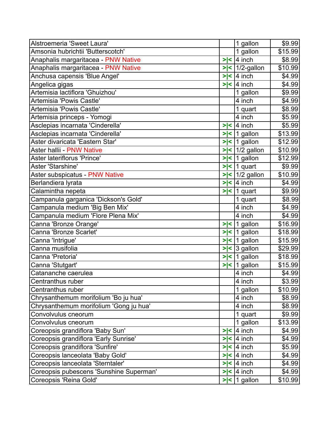| Alstroemeria 'Sweet Laura'              |        | 1 gallon            | \$9.99  |
|-----------------------------------------|--------|---------------------|---------|
| Amsonia hubrichtii 'Butterscotch'       |        | 1 gallon            | \$15.99 |
| Anaphalis margaritacea - PNW Native     | > <    | 4 inch              | \$8.99  |
| Anaphalis margaritacea - PNW Native     |        | $>$  <   1/2-gallon | \$10.99 |
| Anchusa capensis 'Blue Angel'           | $>\lt$ | 4 inch              | \$4.99  |
| Angelica gigas                          | > <    | 4 inch              | \$4.99  |
| Artemisia lactiflora 'Ghuizhou'         |        | 1 gallon            | \$9.99  |
| Artemisia 'Powis Castle'                |        | 4 inch              | \$4.99  |
| Artemisia 'Powis Castle'                |        | 1 quart             | \$8.99  |
| Artemisia princeps - Yomogi             |        | 4 inch              | \$5.99  |
| Asclepias incarnata 'Cinderella'        | >∣<    | 4 inch              | \$5.99  |
| Asclepias incarnata 'Cinderella'        |        | $>$  <  1 gallon    | \$13.99 |
| Aster divaricata 'Eastern Star'         |        | $>$  <  1 gallon    | \$12.99 |
| Aster hallii - PNW Native               |        | $>$  <   1/2 gallon | \$10.99 |
| Aster lateriflorus 'Prince'             | > <    | 1 gallon            | \$12.99 |
| Aster 'Starshine'                       | > <    | 1 quart             | \$9.99  |
| Aster subspicatus - PNW Native          |        | $>$  <   1/2 gallon | \$10.99 |
| Berlandiera lyrata                      | > <    | 4 inch              | \$4.99  |
| Calamintha nepeta                       |        | $>$  <  1 quart     | \$9.99  |
| Campanula garganica 'Dickson's Gold'    |        | 1 quart             | \$8.99  |
| Campanula medium 'Big Ben Mix'          |        | 4 inch              | \$4.99  |
| Campanula medium 'Flore Plena Mix'      |        | 4 inch              | \$4.99  |
| Canna 'Bronze Orange'                   |        | $>$  <  1 gallon    | \$16.99 |
| Canna 'Bronze Scarlet'                  |        | $>$  <  1 gallon    | \$18.99 |
| Canna 'Intrigue'                        |        | $>$  <  1 gallon    | \$15.99 |
| Canna musifolia                         | > <    | 3 gallon            | \$29.99 |
| Canna 'Pretoria'                        |        | $>$  <  1 gallon    | \$18.99 |
| Canna 'Stutgart'                        | $>\lt$ | 1 gallon            | \$15.99 |
| Catananche caerulea                     |        | 4 inch              | \$4.99  |
| lCentranthus ruber                      |        | 4 inch              | \$3.99  |
| Centranthus ruber                       |        | 1 gallon            | \$10.99 |
| Chrysanthemum morifolium 'Bo ju hua'    |        | 4 inch              | \$8.99  |
| Chrysanthemum morifolium 'Gong ju hua'  |        | 4 inch              | \$8.99  |
| Convolvulus cneorum                     |        | 1 quart             | \$9.99  |
| Convolvulus cneorum                     |        | 1 gallon            | \$13.99 |
| Coreopsis grandiflora 'Baby Sun'        | > <    | 4 inch              | \$4.99  |
| Coreopsis grandiflora 'Early Sunrise'   |        | $>$  <  4 inch      | \$4.99  |
| Coreopsis grandiflora 'Sunfire'         |        | $>$  <  4 inch      | \$5.99  |
| Coreopsis lanceolata 'Baby Gold'        |        | $>$  <  4 inch      | \$4.99  |
| Coreopsis lanceolata 'Sterntaler'       |        | $>$  <  4 inch      | \$4.99  |
| Coreopsis pubescens 'Sunshine Superman' |        | $>$  <  4 inch      | \$4.99  |
| Coreopsis 'Reina Gold'                  |        | $>$  <   1 gallon   | \$10.99 |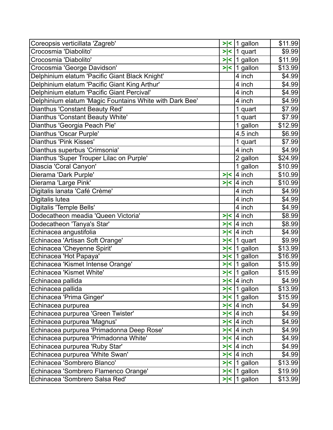| Coreopsis verticillata 'Zagreb'                         | > < | 1 gallon                             | \$11.99 |
|---------------------------------------------------------|-----|--------------------------------------|---------|
| Crocosmia 'Diabolito'                                   |     | $>$  <  1 quart                      | \$9.99  |
| Crocosmia 'Diabolito'                                   |     | $>$  <   1 gallon                    | \$11.99 |
| Crocosmia 'George Davidson'                             |     | $>$  <  1 gallon                     | \$13.99 |
| Delphinium elatum 'Pacific Giant Black Knight'          |     | 4 inch                               | \$4.99  |
| Delphinium elatum 'Pacific Giant King Arthur'           |     | 4 inch                               | \$4.99  |
| Delphinium elatum 'Pacific Giant Percival'              |     | 4 inch                               | \$4.99  |
| Delphinium elatum 'Magic Fountains White with Dark Bee' |     | 4 inch                               | \$4.99  |
| Dianthus 'Constant Beauty Red'                          |     | 1 quart                              | \$7.99  |
| Dianthus 'Constant Beauty White'                        |     | 1 quart                              | \$7.99  |
| Dianthus 'Georgia Peach Pie'                            |     | 1 gallon                             | \$12.99 |
| Dianthus 'Oscar Purple'                                 |     | 4.5 inch                             | \$6.99  |
| Dianthus 'Pink Kisses'                                  |     | 1 quart                              | \$7.99  |
| Dianthus superbus 'Crimsonia'                           |     | 4 inch                               | \$4.99  |
| Dianthus 'Super Trouper Lilac on Purple'                |     | 2 gallon                             | \$24.99 |
| Diascia 'Coral Canyon'                                  |     | 1 gallon                             | \$10.99 |
| Dierama 'Dark Purple'                                   |     | $>$  <  4 inch                       | \$10.99 |
| Dierama 'Large Pink'                                    |     | $>$  <  4 inch                       | \$10.99 |
| Digitalis lanata 'Café Crème'                           |     | 4 inch                               | \$4.99  |
| Digitalis lutea                                         |     | 4 inch                               | \$4.99  |
| Digitalis 'Temple Bells'                                |     | 4 inch                               | \$4.99  |
| Dodecatheon meadia 'Queen Victoria'                     |     | $>$  <  4 inch                       | \$8.99  |
| Dodecatheon 'Tanya's Star'                              |     | $>$  <  4 inch                       | \$8.99  |
| Echinacea angustifolia                                  |     | $>$  <  4 inch                       | \$4.99  |
| Echinacea 'Artisan Soft Orange'                         |     | $>$  <  1 quart                      | \$9.99  |
| Echinacea 'Cheyenne Spirit'                             |     | $>$  <  1 gallon                     | \$13.99 |
| Echinacea 'Hot Papaya'                                  |     | $>$  <  1 gallon                     | \$16.99 |
| Echinacea 'Kismet Intense Orange'                       |     | $>$  <  1 gallon                     | \$15.99 |
| Echinacea 'Kismet White'                                |     | $>$  <  1 gallon                     | \$15.99 |
| Echinacea pallida                                       |     | $>$  <  4 inch                       | \$4.99  |
| Echinacea pallida                                       |     | $>$  <   1 gallon                    | \$13.99 |
| Echinacea 'Prima Ginger'                                |     | $>$  <   1 gallon                    | \$15.99 |
| Echinacea purpurea                                      |     | $>$  <  4 inch                       | \$4.99  |
| Echinacea purpurea 'Green Twister'                      |     | $>$  <  4 inch                       | \$4.99  |
| Echinacea purpurea 'Magnus'                             |     | $>$  <  4 inch                       | \$4.99  |
| Echinacea purpurea 'Primadonna Deep Rose'               |     | $>$  <  4 inch                       | \$4.99  |
| Echinacea purpurea 'Primadonna White'                   |     | $>$  <  4 inch                       | \$4.99  |
| Echinacea purpurea 'Ruby Star'                          |     | $>$  <  4 inch                       | \$4.99  |
| Echinacea purpurea 'White Swan'                         |     | $>$  <  4 inch                       | \$4.99  |
| Echinacea 'Sombrero Blanco'                             |     | $>$  <  1 gallon                     | \$13.99 |
| Echinacea 'Sombrero Flamenco Orange'                    |     | $>$  <   1 gallon                    | \$19.99 |
| Echinacea 'Sombrero Salsa Red'                          |     | $\overline{\left 2\right }$ 1 gallon | \$13.99 |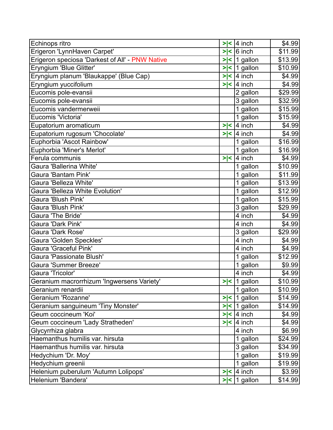| Echinops ritro                                  | > <         | $ 4$ inch         | \$4.99   |
|-------------------------------------------------|-------------|-------------------|----------|
| Erigeron 'LynnHaven Carpet'                     | > <         | $ 6 $ inch        | \$11.99  |
| Erigeron speciosa 'Darkest of All' - PNW Native | $>\lt$      | 1 gallon          | \$13.99  |
| Eryngium 'Blue Glitter'                         | $\geq$<br>k | 1 gallon          | \$10.99  |
| Eryngium planum 'Blaukappe' (Blue Cap)          | $>\lt$      | $ 4$ inch         | \$4.99   |
| Eryngium yuccifolium                            | > <         | 4 inch            | \$4.99   |
| Eucomis pole-evansii                            |             | 2 gallon          | \$29.99  |
| Eucomis pole-evansii                            |             | 3 gallon          | \$32.99  |
| Eucomis vandermerweii                           |             | 1 gallon          | \$15.99  |
| Eucomis 'Victoria'                              |             | 1 gallon          | \$15.99  |
| Eupatorium aromaticum                           | > <         | $ 4$ inch         | \$4.99   |
| Eupatorium rugosum 'Chocolate'                  | > <         | 4 inch            | \$4.99   |
| Euphorbia 'Ascot Rainbow'                       |             | 1 gallon          | \$16.99  |
| Euphorbia 'Miner's Merlot'                      |             | 1 gallon          | \$16.99  |
| Ferula communis                                 | > <         | $4$ inch          | \$4.99   |
| Gaura 'Ballerina White'                         |             | 1 gallon          | \$10.99  |
| Gaura 'Bantam Pink'                             |             | 1 gallon          | \$11.99  |
| Gaura 'Belleza White'                           |             | 1 gallon          | \$13.99  |
| Gaura 'Belleza White Evolution'                 |             | 1 gallon          | \$12.99  |
| Gaura 'Blush Pink'                              |             | 1 gallon          | \$15.99  |
| Gaura 'Blush Pink'                              |             | 3 gallon          | \$29.99  |
| Gaura 'The Bride'                               |             | 4 inch            | \$4.99   |
| Gaura 'Dark Pink'                               |             | 4 inch            | \$4.99   |
| <b>Gaura 'Dark Rose'</b>                        |             | 3 gallon          | \$29.99  |
| Gaura 'Golden Speckles'                         |             | 4 inch            | \$4.99   |
| <b>Gaura 'Graceful Pink'</b>                    |             | 4 inch            | \$4.99   |
| Gaura 'Passionate Blush'                        |             | 1 gallon          | \$12.99  |
| Gaura 'Summer Breeze'                           |             | 1 gallon          | \$9.99   |
| Gaura 'Tricolor'                                |             | 4 inch            | \$4.99   |
| Geranium macrorrhizum 'Ingwersens Variety'      |             | $>$  <  1 gallon  | \$10.99] |
| Geranium renardii                               |             | 1 gallon          | \$10.99  |
| Geranium 'Rozanne'                              | > <         | 1 gallon          | \$14.99  |
| Geranium sanguineum 'Tiny Monster'              |             | $>$  <  1 gallon  | \$14.99  |
| Geum coccineum 'Koi'                            |             | $>$  < 4 inch     | \$4.99   |
| Geum coccineum 'Lady Stratheden'                | > <         | $ 4$ inch         | \$4.99   |
| Glycyrrhiza glabra                              |             | 4 inch            | \$6.99   |
| Haemanthus humilis var. hirsuta                 |             | 1 gallon          | \$24.99  |
| Haemanthus humilis var. hirsuta                 |             | 3 gallon          | \$34.99  |
| Hedychium 'Dr. Moy'                             |             | 1 gallon          | \$19.99  |
| Hedychium greenii                               |             | 1 gallon          | \$19.99  |
| Helenium puberulum 'Autumn Lolipops'            | > <         | $ 4$ inch         | \$3.99   |
| Helenium 'Bandera'                              |             | $>$  <   1 gallon | \$14.99  |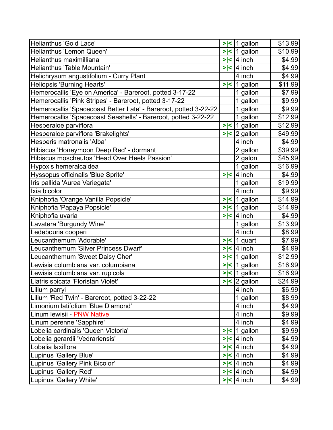| Helianthus 'Gold Lace'                                           | > <    | 1 gallon          | \$13.99 |
|------------------------------------------------------------------|--------|-------------------|---------|
| Helianthus 'Lemon Queen'                                         |        | $>$  <  1 gallon  | \$10.99 |
| Helianthus maximilliana                                          | $>\lt$ | 4 inch            | \$4.99  |
| Helianthus 'Table Mountain'                                      | $>\lt$ | l4 inch           | \$4.99  |
| Helichrysum angustifolium - Curry Plant                          |        | 4 inch            | \$4.99  |
| Heliopsis 'Burning Hearts'                                       | > <    | gallon<br>l1.     | \$11.99 |
| Hemerocallis 'Eye on America' - Bareroot, potted 3-17-22         |        | 1 gallon          | \$7.99  |
| Hemerocallis 'Pink Stripes' - Bareroot, potted 3-17-22           |        | 1 gallon          | \$9.99  |
| Hemerocallis 'Spacecoast Better Late' - Bareroot, potted 3-22-22 |        | 1 gallon          | \$9.99  |
| Hemerocallis 'Spacecoast Seashells' - Bareroot, potted 3-22-22   |        | 1 gallon          | \$12.99 |
| Hesperaloe parviflora                                            | >∣<    | 1 gallon          | \$12.99 |
| Hesperaloe parviflora 'Brakelights'                              | >∣<    | 2 gallon          | \$49.99 |
| Hesperis matronalis 'Alba'                                       |        | 4 inch            | \$4.99  |
| Hibiscus 'Honeymoon Deep Red' - dormant                          |        | 2 gallon          | \$39.99 |
| Hibiscus moscheutos 'Head Over Heels Passion'                    |        | 2 galon           | \$45.99 |
| Hypoxis hemeralcaldea                                            |        | 1 gallon          | \$16.99 |
| Hyssopus officinalis 'Blue Sprite'                               |        | $>$  < 4 inch     | \$4.99  |
| Iris pallida 'Aurea Variegata'                                   |        | 1 gallon          | \$19.99 |
| Ixia bicolor                                                     |        | 4 inch            | \$9.99  |
| Kniphofia 'Orange Vanilla Popsicle'                              | > <    | 1 gallon          | \$14.99 |
| Kniphofia 'Papaya Popsicle'                                      |        | $>$  <  1 gallon  | \$14.99 |
| Kniphofia uvaria                                                 |        | $>$  <  4 inch    | \$4.99  |
| Lavatera 'Burgundy Wine'                                         |        | 1 gallon          | \$13.99 |
| Ledebouria cooperi                                               |        | 4 inch            | \$8.99  |
| Leucanthemum 'Adorable'                                          | > <  1 | quart             | \$7.99  |
| Leucanthemum 'Silver Princess Dwarf'                             | > <    | $ 4$ inch         | \$4.99  |
| Leucanthemum 'Sweet Daisy Cher'                                  |        | $>$  <  1 gallon  | \$12.99 |
| Lewisia columbiana var. columbiana                               |        | $>$  <  1 gallon  | \$16.99 |
| Lewisia columbiana var. rupicola                                 |        | $>$  <  1 gallon  | \$16.99 |
| Liatris spicata 'Floristan Violet'                               |        | $>$  < 2 gallon   | \$24.99 |
| Lilium parryi                                                    |        | 4 inch            | \$6.99  |
| Lilium 'Red Twin' - Bareroot, potted 3-22-22                     |        | 1 gallon          | \$8.99  |
| Limonium latifolium 'Blue Diamond'                               |        | 4 inch            | \$4.99  |
| Linum lewisii - PNW Native                                       |        | 4 inch            | \$9.99  |
| Linum perenne 'Sapphire'                                         |        | 4 inch            | \$4.99  |
| Lobelia cardinalis 'Queen Victoria'                              |        | $>$  <   1 gallon | \$9.99  |
| Lobelia gerardii 'Vedrariensis'                                  |        | $>$  <  4 inch    | \$4.99  |
| Lobelia laxiflora                                                |        | $>$  <  4 inch    | \$4.99  |
| Lupinus 'Gallery Blue'                                           |        | $>$  <  4 inch    | \$4.99  |
| Lupinus 'Gallery Pink Bicolor'                                   |        | $>$  <  4 inch    | \$4.99  |
| Lupinus 'Gallery Red'                                            |        | $>$  <  4 inch    | \$4.99  |
| Lupinus 'Gallery White'                                          |        | $>$  <  4 inch    | \$4.99  |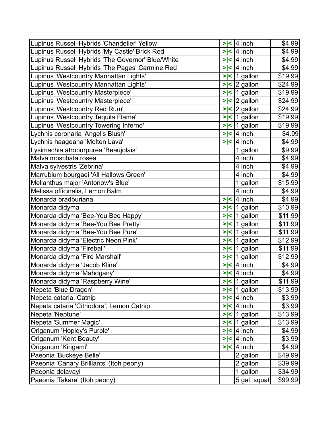| Lupinus Russell Hybrids 'Chandelier' Yellow       | > < | $ 4$ inch               | \$4.99  |
|---------------------------------------------------|-----|-------------------------|---------|
| Lupinus Russell Hybrids 'My Castle' Brick Red     | > < | $ 4$ inch               | \$4.99  |
| Lupinus Russell Hybrids 'The Governor' Blue/White | > < | 4 inch                  | \$4.99  |
| Lupinus Russell Hybrids 'The Pages' Carmine Red   |     | $>$  <  4 inch          | \$4.99  |
| Lupinus 'Westcountry Manhattan Lights'            |     | $>$  <  1 gallon        | \$19.99 |
| Lupinus 'Westcountry Manhattan Lights'            |     | $>$  < $\vert$ 2 gallon | \$24.99 |
| Lupinus 'Westcountry Masterpiece'                 |     | $>$  <   1 gallon       | \$19.99 |
| Lupinus 'Westcountry Masterpiece'                 | ⋗   | $\le$ 2 gallon          | \$24.99 |
| Lupinus 'Westcountry Red Rum'                     |     | $>$  < $\vert$ 2 gallon | \$24.99 |
| Lupinus 'Westcountry Tequila Flame'               |     | $>$  <  1 gallon        | \$19.99 |
| Lupinus 'Westcountry Towering Inferno'            |     | $>$  <  1 gallon        | \$19.99 |
| Lychnis coronaria 'Angel's Blush'                 | > < | 4 inch                  | \$4.99  |
| Lychnis haageana 'Molten Lava'                    |     | $>$  <  4 inch          | \$4.99  |
| Lysimachia atropurpurea 'Beaujolais'              |     | 1 gallon                | \$9.99  |
| Malva moschata rosea                              |     | 4 inch                  | \$4.99  |
| Malva sylvestris 'Zebrina'                        |     | 4 inch                  | \$4.99  |
| Marrubium bourgaei 'All Hallows Green'            |     | 4 inch                  | \$4.99  |
| Melianthus major 'Antonow's Blue'                 |     | 1 gallon                | \$15.99 |
| Melissa officinalis, Lemon Balm                   |     | 4 inch                  | \$4.99  |
| Monarda bradburiana                               |     | $>$  <  4 inch          | \$4.99  |
| Monarda didyma                                    |     | $>$  <  1 gallon        | \$10.99 |
| Monarda didyma 'Bee-You Bee Happy'                | > < | 1 gallon                | \$11.99 |
| Monarda didyma 'Bee-You Bee Pretty'               |     | $>$  <   1 gallon       | \$11.99 |
| Monarda didyma 'Bee-You Bee Pure'                 |     | $>$  <  1 gallon        | \$11.99 |
| Monarda didyma 'Electric Neon Pink'               | > < | $ 1$ gallon             | \$12.99 |
| Monarda didyma 'Fireball'                         | > < | 1 gallon                | \$11.99 |
| Monarda didyma 'Fire Marshall'                    | > < | 1 gallon                | \$12.99 |
| Monarda didyma 'Jacob Kline'                      | > < | $ 4$ inch               | \$4.99  |
| Monarda didyma 'Mahogany'                         |     | $>$  <  4 inch          | \$4.99  |
| Monarda didyma 'Raspberry Wine'                   |     | $>$  <  1 gallon        | \$11.99 |
| Nepeta 'Blue Dragon'                              |     | $>$  <  1 gallon        | \$13.99 |
| Nepeta cataria, Catnip                            |     | $>$  <  4 inch          | \$3.99  |
| Nepeta cataria 'Citriodora', Lemon Catnip         |     | $>$  <  4 inch          | \$3.99  |
| Nepeta 'Neptune'                                  |     | $>$  <  1 gallon        | \$13.99 |
| Nepeta 'Summer Magic'                             |     | $>$  <  1 gallon        | \$13.99 |
| Origanum 'Hopley's Purple'                        |     | $>$  <  4 inch          | \$4.99  |
| Origanum 'Kent Beauty'                            | >∣< | 4 inch                  | \$3.99  |
| Origanum 'Kirigami'                               |     | $>$  <  4 inch          | \$4.99  |
| Paeonia 'Buckeye Belle'                           |     | 2 gallon                | \$49.99 |
| Paeonia 'Canary Brilliants' (Itoh peony)          |     | 2 gallon                | \$39.99 |
| Paeonia delavayi                                  |     | 1 gallon                | \$34.99 |
| Paeonia 'Takara' (Itoh peony)                     |     | 5 gal. squat            | \$99.99 |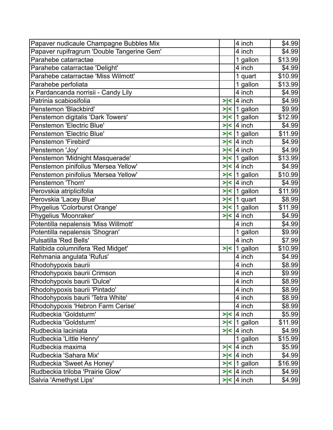| Papaver nudicaule Champagne Bubbles Mix    |        | 4 inch                               | \$4.99  |
|--------------------------------------------|--------|--------------------------------------|---------|
| Papaver rupifragrum 'Double Tangerine Gem' |        | 4 inch                               | \$4.99  |
| Parahebe catarractae                       |        | 1 gallon                             | \$13.99 |
| Parahebe catarractae 'Delight'             |        | 4 inch                               | \$4.99  |
| Parahebe catarractae 'Miss Wilmott'        |        | 1 quart                              | \$10.99 |
| Parahebe perfoliata                        |        | 1 gallon                             | \$13.99 |
| x Pardancanda norrisii - Candy Lily        |        | 4 inch                               | \$4.99  |
| Patrinia scabiosifolia                     | > <    | 4 inch                               | \$4.99  |
| Penstemon 'Blackbird'                      |        | $>$  <  1 gallon                     | \$9.99  |
| Penstemon digitalis 'Dark Towers'          | > <    | 1 gallon                             | \$12.99 |
| Penstemon 'Electric Blue'                  | > <    | $ 4$ inch                            | \$4.99  |
| Penstemon 'Electric Blue'                  | > <    | 1 gallon                             | \$11.99 |
| Penstemon 'Firebird'                       | $>\lt$ | $4$ inch                             | \$4.99  |
| Penstemon 'Joy'                            | $>\lt$ | $ 4$ inch                            | \$4.99  |
| Penstemon 'Midnight Masquerade'            |        | $>$  <  1 gallon                     | \$13.99 |
| Penstemon pinifolius 'Mersea Yellow'       | > <    | $4$ inch                             | \$4.99  |
| Penstemon pinifolius 'Mersea Yellow'       |        | $>$  <  1 gallon                     | \$10.99 |
| Penstemon 'Thorn'                          | > <    | $ 4$ inch                            | \$4.99  |
| Perovskia atriplicifolia                   | > <    | 1 gallon                             | \$11.99 |
| Perovskia 'Lacey Blue'                     | > <    | 1 quart                              | \$8.99  |
| Phygelius 'Colorburst Orange'              |        | $>$  <  1 gallon                     | \$11.99 |
| Phygelius 'Moonraker'                      | > <    | $4$ inch                             | \$4.99  |
| Potentilla nepalensis 'Miss Willmott'      |        | 4 inch                               | \$4.99  |
| Potentilla nepalensis 'Shogran'            |        | 1 gallon                             | \$9.99  |
| Pulsatilla 'Red Bells'                     |        | 4 inch                               | \$7.99  |
| Ratibida columnifera 'Red Midget'          | > <    | gallon<br>$\vert$ 1                  | \$10.99 |
| Rehmania angulata 'Rufus'                  |        | 4 inch                               | \$4.99  |
| Rhodohypoxis baurii                        |        | 4 inch                               | \$8.99  |
| Rhodohypoxis baurii Crimson                |        | 4 inch                               | \$9.99  |
| Rhodohypoxis baurii 'Dulce'                |        | 4 inch                               | \$8.99  |
| Rhodohypoxis baurii 'Pintado'              |        | 4 inch                               | \$8.99  |
| Rhodohypoxis baurii 'Tetra White'          |        | 4 inch                               | \$8.99  |
| Rhodohypoxis 'Hebron Farm Cerise'          |        | 4 inch                               | \$8.99  |
| Rudbeckia 'Goldsturm'                      | $>\lt$ | $ 4$ inch                            | \$5.99  |
| Rudbeckia 'Goldsturm'                      |        | $>$  <  1 gallon                     | \$11.99 |
| Rudbeckia laciniata                        |        | $>$  <  4 inch                       | \$4.99  |
| Rudbeckia 'Little Henry'                   |        | 1 gallon                             | \$15.99 |
| Rudbeckia maxima                           |        | $>$  < 4 inch                        | \$5.99  |
| Rudbeckia 'Sahara Mix'                     |        | $\overline{\left 2\right }$   4 inch | \$4.99  |
| Rudbeckia 'Sweet As Honey'                 |        | $>$  <  1 gallon                     | \$16.99 |
| Rudbeckia triloba 'Prairie Glow'           |        | $>$  <  4 inch                       | \$4.99  |
| Salvia 'Amethyst Lips'                     |        | $>$  < 4 inch                        | \$4.99  |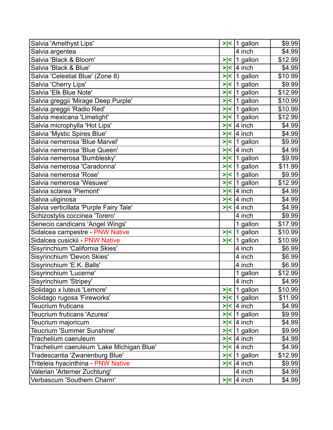| Salvia 'Amethyst Lips'                    |              | $>$  <  1 gallon      | \$9.99  |
|-------------------------------------------|--------------|-----------------------|---------|
| Salvia argentea                           |              | 4 inch                | \$4.99  |
| Salvia 'Black & Bloom'                    | > <          | $\mathbf 1$<br>gallon | \$12.99 |
| Salvia 'Black & Blue'                     | > <          | $ 4$ inch             | \$4.99  |
| Salvia 'Celestial Blue' (Zone 8)          | > <          | 1 gallon              | \$10.99 |
| Salvia 'Cherry Lips'                      | > <          | 1 gallon              | \$9.99  |
| Salvia 'Elk Blue Note'                    | > <          | 1 gallon              | \$12.99 |
| Salvia greggii 'Mirage Deep Purple'       | $\geq$<br>∣< | 1 gallon              | \$10.99 |
| Salvia greggii 'Radio Red'                |              | $>$  <  1 gallon      | \$10.99 |
| Salvia mexicana 'Limelight'               | > <          | 1 gallon              | \$12.99 |
| Salvia microphylla 'Hot Lips'             | > <          | $ 4$ inch             | \$4.99  |
| Salvia 'Mystic Spires Blue'               | > <          | 4 inch                | \$4.99  |
| Salvia nemerosa 'Blue Marvel'             |              | $>$  <   1 gallon     | \$9.99  |
| Salvia nemerosa 'Blue Queen'              | > <          | $ 4$ inch             | \$4.99  |
| Salvia nemerosa 'Bumblesky'               |              | $>$  <  1 gallon      | \$9.99  |
| Salvia nemerosa 'Caradonna'               |              | $>$  <  1 gallon      | \$11.99 |
| Salvia nemerosa 'Rose'                    |              | $>$  <   1 gallon     | \$9.99  |
| Salvia nemerosa 'Wesuwe'                  | > <          | 1 gallon              | \$12.99 |
| Salvia sclarea 'Piemont'                  | > <          | 4 inch                | \$4.99  |
| Salvia uliginosa                          |              | $>$  <  4 inch        | \$4.99  |
| Salvia verticillata 'Purple Fairy Tale'   |              | $>$  <  4 inch        | \$4.99  |
| Schizostylis coccinea 'Torero'            |              | 4 inch                | \$9.99  |
| Senecio candicans 'Angel Wings'           |              | 1 gallon              | \$17.99 |
| Sidalcea campestre - PNW Native           |              | $>$  <  1 gallon      | \$10.99 |
| Sidalcea cusickii - PNW Native            |              | $>$  <  1 gallon      | \$10.99 |
| Sisyrinchium 'California Skies'           |              | 4 inch                | \$6.99  |
| Sisyrinchium 'Devon Skies'                |              | 4 inch                | \$6.99  |
| Sisyrinchium 'E.K. Balls'                 |              | 4 inch                | \$6.99  |
| Sisyrinchium 'Lucerne'                    |              | 1 gallon              | \$12.99 |
| Sisyrinchium 'Stripey'                    |              | 4 inch                | \$4.99  |
| Solidago x luteus 'Lemore'                |              | $>$  <  1 gallon      | \$10.99 |
| Solidago rugosa 'Fireworks'               |              | $>$  <  1 gallon      | \$11.99 |
| <b>Teucrium fruticans</b>                 |              | $>$  <  4 inch        | \$4.99  |
| Teucrium fruticans 'Azurea'               |              | $>$  <   1 gallon     | \$9.99  |
| Teucrium majoricum                        |              | $>$  <  4 inch        | \$4.99  |
| Teucrium 'Summer Sunshine'                |              | $>$  <  1 gallon      | \$9.99  |
| Trachelium caeruleum                      |              | $>$  <  4 inch        | \$4.99  |
| Trachelium caeruleum 'Lake Michigan Blue' |              | $>$  <  4 inch        | \$4.99  |
| Tradescantia 'Zwanenburg Blue'            |              | $>$  <   1 gallon     | \$12.99 |
| Triteleia hyacinthina - PNW Native        |              | $>$  <  4 inch        | \$9.99  |
| Valerian 'Arterner Zuchtung'              |              | 4 inch                | \$4.99  |
| Verbascum 'Southern Charm'                |              | $>$  <  4 inch        | \$4.99  |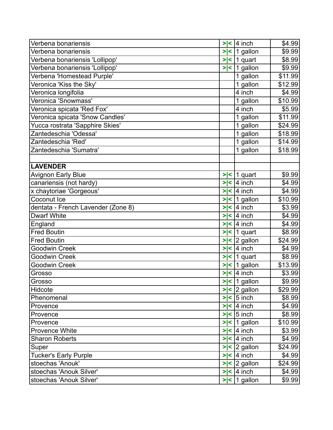| Verbena bonariensis                |        | $>$  <  4 inch          | \$4.99  |
|------------------------------------|--------|-------------------------|---------|
| Verbena bonariensis                |        | $>$  <  1 gallon        | \$9.99  |
| Verbena bonariensis 'Lollipop'     |        | $>$  <  1 quart         | \$8.99  |
| Verbena bonariensis 'Lollipop'     |        | $>$  <  1 gallon        | \$9.99  |
| Verbena 'Homestead Purple'         |        | 1 gallon                | \$11.99 |
| Veronica 'Kiss the Sky'            |        | 1 gallon                | \$12.99 |
| Veronica longifolia                |        | 4 inch                  | \$4.99  |
| Veronica 'Snowmass'                |        | 1 gallon                | \$10.99 |
| Veronica spicata 'Red Fox'         |        | 4 inch                  | \$5.99  |
| Veronica spicata 'Snow Candles'    |        | 1 gallon                | \$11.99 |
| Yucca rostrata 'Sapphire Skies'    |        | 1 gallon                | \$24.99 |
| Zantedeschia 'Odessa'              |        | 1 gallon                | \$18.99 |
| Zantedeschia 'Red'                 |        | $\overline{1}$ gallon   | \$14.99 |
| Zantedeschia 'Sumatra'             |        | 1 gallon                | \$18.99 |
|                                    |        |                         |         |
| <b>LAVENDER</b>                    |        |                         |         |
| <b>Avignon Early Blue</b>          |        | $>$  <  1 quart         | \$9.99  |
| canariensis (not hardy)            | $>\lt$ | 4 inch                  | \$4.99  |
| x chaytoriae 'Gorgeous'            |        | $>$  <  4 inch          | \$4.99  |
| Coconut Ice                        |        | $>$  <  1 gallon        | \$10.99 |
| dentata - French Lavender (Zone 8) | $>\lt$ | $ 4$ inch               | \$3.99  |
| <b>Dwarf White</b>                 | $>\lt$ | 4 inch                  | \$4.99  |
| England                            |        | $>$  <  4 inch          | \$4.99  |
| <b>Fred Boutin</b>                 |        | $>$  <  1 quart         | \$8.99  |
| <b>Fred Boutin</b>                 |        | $>$  < $\vert$ 2 gallon | \$24.99 |
| Goodwin Creek                      | > <    | 4 inch                  | \$4.99  |
| Goodwin Creek                      |        | $>$  <  1 quart         | \$8.99  |
| Goodwin Creek                      |        | $>$  <  1 gallon        | \$13.99 |
| Grosso                             |        | $>$  <  4 inch          | \$3.99  |
| Grosso                             |        | $>$  <  1 gallon        | \$9.99  |
| Hidcote                            |        | $>$  < $\vert$ 2 gallon | \$29.99 |
| Phenomenal                         |        | $>$  < $\vert$ 5 inch   | \$8.99  |
| Provence                           |        | $>$  <  4 inch          | \$4.99  |
| Provence                           |        | $>$  < $\vert$ 5 inch   | \$8.99  |
| Provence                           |        | $>$  <  1 gallon        | \$10.99 |
| <b>Provence White</b>              |        | $>$  < 4 inch           | \$3.99  |
| <b>Sharon Roberts</b>              |        | $>$  <  4 inch          | \$4.99  |
| Super                              |        | $>$  < $\vert$ 2 gallon | \$24.99 |
| <b>Tucker's Early Purple</b>       |        | $>$  < 4 inch           | \$4.99  |
| stoechas 'Anouk'                   |        | $>$  <  2 gallon        | \$24.99 |
| stoechas 'Anouk Silver'            |        | $>$  <  4 inch          | \$4.99  |
| stoechas 'Anouk Silver'            |        | $>$  <  1 gallon        | \$9.99  |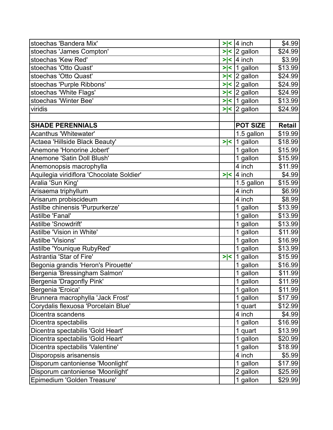| stoechas 'Bandera Mix'                    |         | $>$  <  4 inch   | \$4.99        |
|-------------------------------------------|---------|------------------|---------------|
| stoechas 'James Compton'                  | > <     | 2 gallon         | \$24.99       |
| stoechas 'Kew Red'                        | $>\, <$ | $ 4$ inch        | \$3.99        |
| stoechas 'Otto Quast'                     |         | $>$  <  1 gallon | \$13.99       |
| stoechas 'Otto Quast'                     |         | $>$  <  2 gallon | \$24.99       |
| stoechas 'Purple Ribbons'                 |         | $>$  <  2 gallon | \$24.99       |
| stoechas 'White Flags'                    | >l<     | 2 gallon         | \$24.99       |
| stoechas 'Winter Bee'                     |         | $>$  <  1 gallon | \$13.99       |
| viridis                                   |         | $>$  <  2 gallon | \$24.99       |
|                                           |         |                  |               |
| <b>SHADE PERENNIALS</b>                   |         | <b>POT SIZE</b>  | <b>Retail</b> |
| Acanthus 'Whitewater'                     |         | 1.5 gallon       | \$19.99       |
| Actaea 'Hillside Black Beauty'            |         | $>$  <  1 gallon | \$18.99       |
| Anemone 'Honorine Jobert'                 |         | 1 gallon         | \$15.99       |
| Anemone 'Satin Doll Blush'                |         | 1 gallon         | \$15.99       |
| Anemonopsis macrophylla                   |         | 4 inch           | \$11.99       |
| Aquilegia viridiflora 'Chocolate Soldier' |         | $>$  <  4 inch   | \$4.99        |
| Aralia 'Sun King'                         |         | 1.5 gallon       | \$15.99       |
| Arisaema triphyllum                       |         | 4 inch           | \$6.99        |
| Arisarum probiscideum                     |         | 4 inch           | \$8.99        |
| Astilbe chinensis 'Purpurkerze'           |         | 1 gallon         | \$13.99       |
| Astilbe 'Fanal'                           |         | 1 gallon         | \$13.99       |
| Astilbe 'Snowdrift'                       |         | 1 gallon         | \$13.99       |
| Astilbe 'Vision in White'                 |         | 1 gallon         | \$11.99       |
| Astilbe 'Visions'                         |         | 1 gallon         | \$16.99       |
| Astilbe 'Younique RubyRed'                |         | 1 gallon         | \$13.99       |
| Astrantia 'Star of Fire'                  | > <     | 1 gallon         | \$15.99       |
| Begonia grandis 'Heron's Pirouette'       |         | 1 gallon         | \$16.99       |
| Bergenia 'Bressingham Salmon'             |         | 1 gallon         | \$11.99       |
| Bergenia 'Dragonfly Pink'                 |         | 1 gallon         | \$11.99       |
| Bergenia 'Eroica'                         |         | 1 gallon         | \$11.99       |
| Brunnera macrophylla 'Jack Frost'         |         | 1 gallon         | \$17.99       |
| Corydalis flexuosa 'Porcelain Blue'       |         | 1 quart          | \$12.99       |
| Dicentra scandens                         |         | 4 inch           | \$4.99        |
| Dicentra spectabilis                      |         | 1 gallon         | \$16.99       |
| Dicentra spectabilis 'Gold Heart'         |         | 1 quart          | \$13.99       |
| Dicentra spectabilis 'Gold Heart'         |         | 1 gallon         | \$20.99       |
| Dicentra spectabilis 'Valentine'          |         | 1 gallon         | \$18.99       |
| Disporopsis arisanensis                   |         | 4 inch           | \$5.99        |
| Disporum cantoniense 'Moonlight'          |         | 1 gallon         | \$17.99       |
| Disporum cantoniense 'Moonlight'          |         | 2 gallon         | \$25.99       |
| Epimedium 'Golden Treasure'               |         | 1 gallon         | \$29.99       |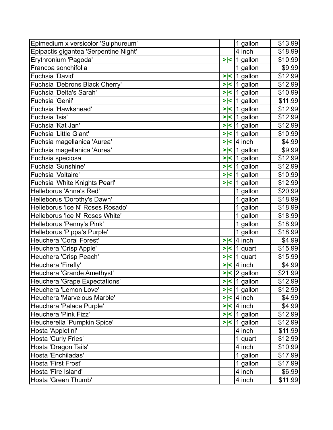| Epimedium x versicolor 'Sulphureum'   |     | 1 gallon         | \$13.99 |
|---------------------------------------|-----|------------------|---------|
| Epipactis gigantea 'Serpentine Night' |     | 4 inch           | \$18.99 |
| Erythronium 'Pagoda'                  | > < | 1 gallon         | \$10.99 |
| Francoa sonchifolia                   |     | 1 gallon         | \$9.99  |
| Fuchsia 'David'                       | > < | 1 gallon         | \$12.99 |
| Fuchsia 'Debrons Black Cherry'        | > < | 1 gallon         | \$12.99 |
| Fuchsia 'Delta's Sarah'               | > < | 1 gallon         | \$10.99 |
| Fuchsia 'Genii'                       | > < | 1 gallon         | \$11.99 |
| Fuchsia 'Hawkshead'                   |     | $>$  <  1 gallon | \$12.99 |
| Fuchsia 'Isis'                        | > < | $ 1$ gallon      | \$12.99 |
| Fuchsia 'Kat Jan'                     | > < | 1 gallon         | \$12.99 |
| Fuchsia 'Little Giant'                | > < | 1 gallon         | \$10.99 |
| Fuchsia magellanica 'Aurea'           |     | $>$  <  4 inch   | \$4.99  |
| Fuchsia magellanica 'Aurea'           | > < | 1 gallon         | \$9.99  |
| Fuchsia speciosa                      | > < | 1 gallon         | \$12.99 |
| Fuchsia 'Sunshine'                    | > < | 1 gallon         | \$12.99 |
| Fuchsia 'Voltaire'                    | > < | 1 gallon         | \$10.99 |
| Fuchsia 'White Knights Pearl'         |     | $>$  <  1 gallon | \$12.99 |
| Helleborus 'Anna's Red'               |     | 1 gallon         | \$20.99 |
| Helleborus 'Dorothy's Dawn'           |     | 1 gallon         | \$18.99 |
| Helleborus 'Ice N' Roses Rosado'      |     | 1 gallon         | \$18.99 |
| Helleborus 'Ice N' Roses White'       |     | 1 gallon         | \$18.99 |
| Helleborus 'Penny's Pink'             |     | 1 gallon         | \$18.99 |
| Helleborus 'Pippa's Purple'           |     | 1 gallon         | \$18.99 |
| Heuchera 'Coral Forest'               | > < | $ 4$ inch        | \$4.99  |
| Heuchera 'Crisp Apple'                | > < | 1 quart          | \$15.99 |
| Heuchera 'Crisp Peach'                | > < | 1 quart          | \$15.99 |
| Heuchera 'Firefly'                    | > < | $ 4$ inch        | \$4.99  |
| Heuchera 'Grande Amethyst'            |     | $>$  <  2 gallon | \$21.99 |
| Heuchera 'Grape Expectations'         |     | $>$  <  1 gallon | \$12.99 |
| Heuchera 'Lemon Love'                 |     | $>$  <  1 gallon | \$12.99 |
| Heuchera 'Marvelous Marble'           |     | $>$  <  4 inch   | \$4.99  |
| Heuchera 'Palace Purple'              |     | $>$  <  4 inch   | \$4.99  |
| Heuchera 'Pink Fizz'                  |     | $>$  <  1 gallon | \$12.99 |
| Heucherella 'Pumpkin Spice'           |     | $>$  <  1 gallon | \$12.99 |
| Hosta 'Appletini'                     |     | 4 inch           | \$11.99 |
| Hosta 'Curly Fries'                   |     | 1 quart          | \$12.99 |
| Hosta 'Dragon Tails'                  |     | 4 inch           | \$10.99 |
| Hosta 'Enchiladas'                    |     | 1 gallon         | \$17.99 |
| Hosta 'First Frost'                   |     | 1 gallon         | \$17.99 |
| Hosta 'Fire Island'                   |     | 4 inch           | \$6.99  |
| Hosta 'Green Thumb'                   |     | 4 inch           | \$11.99 |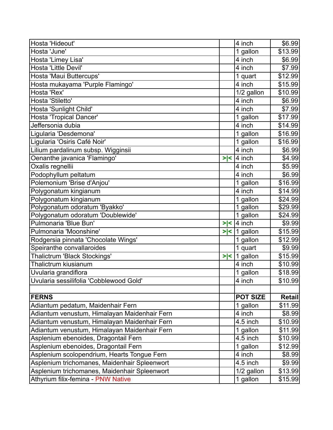| Hosta 'Hideout'                              |     | 4 inch                | \$6.99  |
|----------------------------------------------|-----|-----------------------|---------|
| Hosta 'June'                                 |     | 1 gallon              | \$13.99 |
| Hosta 'Limey Lisa'                           |     | 4 inch                | \$6.99  |
| Hosta 'Little Devil'                         |     | 4 inch                | \$7.99  |
| Hosta 'Maui Buttercups'                      |     | 1 quart               | \$12.99 |
| Hosta mukayama 'Purple Flamingo'             |     | 4 inch                | \$15.99 |
| Hosta 'Rex'                                  |     | 1/2 gallon            | \$10.99 |
| Hosta 'Stiletto'                             |     | 4 inch                | \$6.99  |
| Hosta 'Sunlight Child'                       |     | 4 inch                | \$7.99  |
| Hosta 'Tropical Dancer'                      |     | 1 gallon              | \$17.99 |
| Jeffersonia dubia                            |     | 4 inch                | \$14.99 |
| Ligularia 'Desdemona'                        |     | 1 gallon              | \$16.99 |
| Ligularia 'Osiris Café Noir'                 |     | 1 gallon              | \$16.99 |
| Lilium pardalinum subsp. Wigginsii           |     | 4 inch                | \$6.99  |
| Oenanthe javanica 'Flamingo'                 | > < | 4 inch                | \$4.99  |
| Oxalis regnellii                             |     | 4 inch                | \$5.99  |
| Podophyllum peltatum                         |     | 4 inch                | \$6.99  |
| Polemonium 'Brise d'Anjou'                   |     | 1 gallon              | \$16.99 |
| Polygonatum kingianum                        |     | 4 inch                | \$14.99 |
| Polygonatum kingianum                        |     | 1 gallon              | \$24.99 |
| Polygonatum odoratum 'Byakko'                |     | 1 gallon              | \$29.99 |
| Polygonatum odoratum 'Doublewide'            |     | 1 gallon              | \$24.99 |
| Pulmonaria 'Blue Bun'                        | > < | 4 inch                | \$9.99  |
| Pulmonaria 'Moonshine'                       | > < | 1 gallon              | \$15.99 |
| Rodgersia pinnata 'Chocolate Wings'          |     | 1 gallon              | \$12.99 |
| Speiranthe convallaroides                    |     | 1 quart               | \$9.99  |
| Thalictrum 'Black Stockings'                 | > < | $\mathbf 1$<br>gallon | \$15.99 |
| Thalictrum kiusianum                         |     | 4 inch                | \$10.99 |
| Uvularia grandiflora                         |     | 1 gallon              | \$18.99 |
| Uvularia sessilifolia 'Cobblewood Gold'      |     | 4 inch                | \$10.99 |
|                                              |     |                       |         |
| <b>FERNS</b>                                 |     | <b>POT SIZE</b>       | Retail  |
| Adiantum pedatum, Maidenhair Fern            |     | 1 gallon              | \$11.99 |
| Adiantum venustum, Himalayan Maidenhair Fern |     | 4 inch                | \$8.99  |
| Adiantum venustum, Himalayan Maidenhair Fern |     | 4.5 inch              | \$10.99 |
| Adiantum venustum, Himalayan Maidenhair Fern |     | 1 gallon              | \$11.99 |
| Asplenium ebenoides, Dragontail Fern         |     | 4.5 inch              | \$10.99 |
| Asplenium ebenoides, Dragontail Fern         |     | 1 gallon              | \$12.99 |
| Asplenium scolopendrium, Hearts Tongue Fern  |     | 4 inch                | \$8.99  |
| Asplenium trichomanes, Maidenhair Spleenwort |     | 4.5 inch              | \$9.99  |
| Asplenium trichomanes, Maidenhair Spleenwort |     | 1/2 gallon            | \$13.99 |
| Athyrium filix-femina - PNW Native           |     | 1 gallon              | \$15.99 |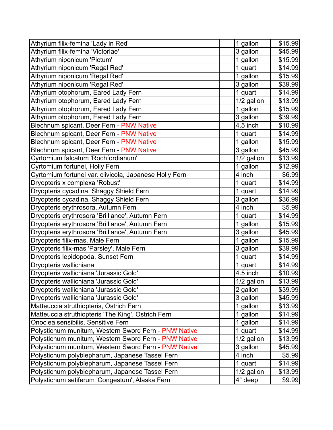| Athyrium filix-femina 'Lady in Red'                    | 1 gallon                | \$15.99 |
|--------------------------------------------------------|-------------------------|---------|
| Athyrium filix-femina 'Victoriae'                      | 3 gallon                | \$45.99 |
| Athyrium niponicum 'Pictum'                            | 1 gallon                | \$15.99 |
| Athyrium niponicum 'Regal Red'                         | 1 quart                 | \$14.99 |
| Athyrium niponicum 'Regal Red'                         | 1 gallon                | \$15.99 |
| Athyrium niponicum 'Regal Red'                         | 3 gallon                | \$39.99 |
| Athyrium otophorum, Eared Lady Fern                    | 1 quart                 | \$14.99 |
| Athyrium otophorum, Eared Lady Fern                    | 1/2 gallon              | \$13.99 |
| Athyrium otophorum, Eared Lady Fern                    | 1 gallon                | \$15.99 |
| Athyrium otophorum, Eared Lady Fern                    | 3 gallon                | \$39.99 |
| Blechnum spicant, Deer Fern - PNW Native               | 4.5 inch                | \$10.99 |
| Blechnum spicant, Deer Fern - PNW Native               | 1 quart                 | \$14.99 |
| Blechnum spicant, Deer Fern - PNW Native               | 1 gallon                | \$15.99 |
| Blechnum spicant, Deer Fern - PNW Native               | 3 gallon                | \$45.99 |
| Cyrtomium falcatum 'Rochfordianum'                     | $\overline{1}/2$ gallon | \$13.99 |
| Cyrtomium fortunei, Holly Fern                         | 1 gallon                | \$12.99 |
| Cyrtomium fortunei var. clivicola, Japanese Holly Fern | 4 inch                  | \$6.99  |
| Dryopteris x complexa 'Robust'                         | 1 quart                 | \$14.99 |
| Dryopteris cycadina, Shaggy Shield Fern                | 1 quart                 | \$14.99 |
| Dryopteris cycadina, Shaggy Shield Fern                | 3 gallon                | \$36.99 |
| Dryopteris erythrosora, Autumn Fern                    | 4 inch                  | \$5.99  |
| Dryopteris erythrosora 'Brilliance', Autumn Fern       | 1 quart                 | \$14.99 |
| Dryopteris erythrosora 'Brilliance', Autumn Fern       | 1 gallon                | \$15.99 |
| Dryopteris erythrosora 'Brilliance', Autumn Fern       | 3 gallon                | \$45.99 |
| Dryopteris filix-mas, Male Fern                        | 1 gallon                | \$15.99 |
| Dryopteris filix-mas 'Parsley', Male Fern              | 3 gallon                | \$39.99 |
| Dryopteris lepidopoda, Sunset Fern                     | 1 quart                 | \$14.99 |
| Dryopteris wallichiana                                 | 1 quart                 | \$14.99 |
| Dryopteris wallichiana 'Jurassic Gold'                 | 4.5 inch                | \$10.99 |
| Dryopteris wallichiana 'Jurassic Gold'                 | 1/2 gallon              | \$13.99 |
| Dryopteris wallichiana 'Jurassic Gold'                 | 2 gallon                | \$39.99 |
| Dryopteris wallichiana 'Jurassic Gold'                 | 3 gallon                | \$45.99 |
| Matteuccia struthiopteris, Ostrich Fern                | 1 gallon                | \$13.99 |
| Matteuccia struthiopteris 'The King', Ostrich Fern     | 1 gallon                | \$14.99 |
| Onoclea sensibilis, Sensitive Fern                     | 1 gallon                | \$14.99 |
| Polystichum munitum, Western Sword Fern - PNW Native   | 1 quart                 | \$14.99 |
| Polystichum munitum, Western Sword Fern - PNW Native   | 1/2 gallon              | \$13.99 |
| Polystichum munitum, Western Sword Fern - PNW Native   | 3 gallon                | \$45.99 |
| Polystichum polyblepharum, Japanese Tassel Fern        | 4 inch                  | \$5.99  |
| Polystichum polyblepharum, Japanese Tassel Fern        | 1 quart                 | \$14.99 |
| Polystichum polyblepharum, Japanese Tassel Fern        | 1/2 gallon              | \$13.99 |
| Polystichum setiferum 'Congestum', Alaska Fern         | 4" deep                 | \$9.99  |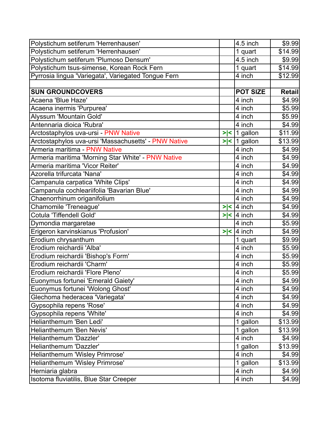| Polystichum setiferum 'Herrenhausen'                 |     | 4.5 inch            | \$9.99        |
|------------------------------------------------------|-----|---------------------|---------------|
| Polystichum setiferum 'Herrenhausen'                 |     | 1 quart             | \$14.99       |
| Polystichum setiferum 'Plumoso Densum'               |     | 4.5 inch            | \$9.99        |
| Polystichum tsus-simense, Korean Rock Fern           |     | 1 quart             | \$14.99       |
| Pyrrosia lingua 'Variegata', Variegated Tongue Fern  |     | 4 inch              | \$12.99       |
|                                                      |     |                     |               |
| <b>SUN GROUNDCOVERS</b>                              |     | <b>POT SIZE</b>     | <b>Retail</b> |
| Acaena 'Blue Haze'                                   |     | 4 inch              | \$4.99        |
| Acaena inermis 'Purpurea'                            |     | 4 inch              | \$5.99        |
| Alyssum 'Mountain Gold'                              |     | $\overline{4}$ inch | \$5.99        |
| Antennaria dioica 'Rubra'                            |     | 4 inch              | \$4.99        |
| Arctostaphylos uva-ursi - PNW Native                 |     | $>$  <  1 gallon    | \$11.99       |
| Arctostaphylos uva-ursi 'Massachusetts' - PNW Native |     | $>$  <  1 gallon    | \$13.99       |
| Armeria maritima - PNW Native                        |     | 4 inch              | \$4.99        |
| Armeria maritima 'Morning Star White' - PNW Native   |     | 4 inch              | \$4.99        |
| Armeria maritima 'Vicor Reiter'                      |     | 4 inch              | \$4.99        |
| Azorella trifurcata 'Nana'                           |     | 4 inch              | \$4.99        |
| Campanula carpatica 'White Clips'                    |     | 4 inch              | \$4.99        |
| Campanula cochleariifolia 'Bavarian Blue'            |     | 4 inch              | \$4.99        |
| Chaenorrhinum origanifolium                          |     | 4 inch              | \$4.99        |
| Chamomile 'Treneague'                                |     | $>$  <  4 inch      | \$4.99        |
| <b>Cotula 'Tiffendell Gold'</b>                      | > < | $ 4$ inch           | \$4.99        |
| Dymondia margaretae                                  |     | 4 inch              | \$5.99        |
| Erigeron karvinskianus 'Profusion'                   | > < | 4 inch              | \$4.99        |
| Erodium chrysanthum                                  |     | 1 quart             | \$9.99        |
| Erodium reichardii 'Alba'                            |     | 4 inch              | \$5.99        |
| Erodium reichardii 'Bishop's Form'                   |     | 4 inch              | \$5.99        |
| Erodium reichardii 'Charm'                           |     | 4 inch              | \$5.99        |
| Erodium reichardii 'Flore Pleno'                     |     | 4 inch              | \$5.99        |
| Euonymus fortunei 'Emerald Gaiety'                   |     | 4 inch              | \$4.99        |
| Euonymus fortunei 'Wolong Ghost'                     |     | 4 inch              | \$4.99        |
| Glechoma hederacea 'Variegata'                       |     | 4 inch              | \$4.99        |
| Gypsophila repens 'Rose'                             |     | 4 inch              | \$4.99        |
| Gypsophila repens 'White'                            |     | 4 inch              | \$4.99        |
| Helianthemum 'Ben Ledi'                              |     | 1 gallon            | \$13.99       |
| Helianthemum 'Ben Nevis'                             |     | 1 gallon            | \$13.99       |
| Helianthemum 'Dazzler'                               |     | 4 inch              | \$4.99        |
| Helianthemum 'Dazzler'                               |     | 1 gallon            | \$13.99       |
| Helianthemum 'Wisley Primrose'                       |     | 4 inch              | \$4.99        |
| Helianthemum 'Wisley Primrose'                       |     | 1 gallon            | \$13.99       |
| Herniaria glabra                                     |     | 4 inch              | \$4.99        |
| Isotoma fluviatilis, Blue Star Creeper               |     | 4 inch              | \$4.99        |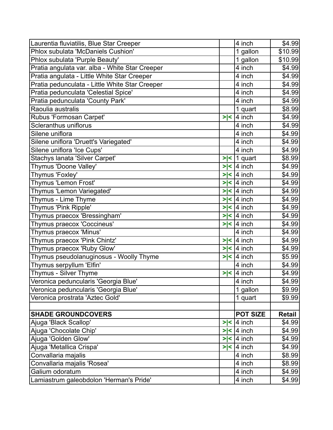| Laurentia fluviatilis, Blue Star Creeper       |        | 4 inch                                   | \$4.99        |
|------------------------------------------------|--------|------------------------------------------|---------------|
| Phlox subulata 'McDaniels Cushion'             |        | 1 gallon                                 | \$10.99       |
| Phlox subulata 'Purple Beauty'                 |        | 1 gallon                                 | \$10.99       |
| Pratia angulata var. alba - White Star Creeper |        | 4 inch                                   | \$4.99        |
| Pratia angulata - Little White Star Creeper    |        | 4 inch                                   | \$4.99        |
| Pratia pedunculata - Little White Star Creeper |        | 4 inch                                   | \$4.99        |
| Pratia pedunculata 'Celestial Spice'           |        | 4 inch                                   | \$4.99        |
| Pratia pedunculata 'County Park'               |        | 4 inch                                   | \$4.99        |
| Raoulia australis                              |        | 1 quart                                  | \$8.99        |
| Rubus 'Formosan Carpet'                        | > <    | 4 inch                                   | \$4.99        |
| Scleranthus uniflorus                          |        | 4 inch                                   | \$4.99        |
| Silene uniflora                                |        | 4 inch                                   | \$4.99        |
| Silene uniflora 'Druett's Variegated'          |        | 4 inch                                   | \$4.99        |
| Silene uniflora 'Ice Cups'                     |        | 4 inch                                   | \$4.99        |
| Stachys Ianata 'Silver Carpet'                 | > <    | 1 quart                                  | \$8.99        |
| Thymus 'Doone Valley'                          | $>\lt$ | 4 inch                                   | \$4.99        |
| Thymus 'Foxley'                                |        | $\overline{\phantom{1}}$ $\leq$   4 inch | \$4.99        |
| Thymus 'Lemon Frost'                           | > <    | 4 inch                                   | \$4.99        |
| Thymus 'Lemon Variegated'                      |        | $>$  <  4 inch                           | \$4.99        |
| Thymus - Lime Thyme                            |        | $>$  <  4 inch                           | \$4.99        |
| Thymus 'Pink Ripple'                           |        | $>$  <  4 inch                           | \$4.99        |
| Thymus praecox 'Bressingham'                   | >l<    | $ 4$ inch                                | \$4.99        |
| Thymus praecox 'Coccineus'                     |        | $>$  <  4 inch                           | \$4.99        |
| Thymus praecox 'Minus'                         |        | 4 inch                                   | \$4.99        |
| Thymus praecox 'Pink Chintz'                   |        | $\overline{\left 2\right }$ / 4 inch     | \$4.99        |
| Thymus praecox 'Ruby Glow'                     | > <    | 4 inch                                   | \$4.99        |
| Thymus pseudolanuginosus - Woolly Thyme        | > <    | $ 4$ inch                                | \$5.99        |
| Thymus serpyllum 'Elfin'                       |        | 4 inch                                   | \$4.99        |
| Thymus - Silver Thyme                          | > <    | 4 inch                                   | \$4.99        |
| Veronica peduncularis 'Georgia Blue'           |        | 4 inch                                   | \$4.99        |
| Veronica peduncularis 'Georgia Blue'           |        | 1 gallon                                 | \$9.99        |
| Veronica prostrata 'Aztec Gold'                |        | 1 quart                                  | \$9.99        |
|                                                |        |                                          |               |
| <b>SHADE GROUNDCOVERS</b>                      |        | <b>POT SIZE</b>                          | <b>Retail</b> |
| Ajuga 'Black Scallop'                          | > <    | 4 inch                                   | \$4.99        |
| Ajuga 'Chocolate Chip'                         |        | $>$  <  4 inch                           | \$4.99        |
| Ajuga 'Golden Glow'                            |        | $>$  <  4 inch                           | \$4.99        |
| Ajuga 'Metallica Crispa'                       |        | $>$  <  4 inch                           | \$4.99        |
| Convallaria majalis                            |        | 4 inch                                   | \$8.99        |
| Convallaria majalis 'Rosea'                    |        | 4 inch                                   | \$8.99        |
| Galium odoratum                                |        | 4 inch                                   | \$4.99        |
| Lamiastrum galeobdolon 'Herman's Pride'        |        | 4 inch                                   | \$4.99        |